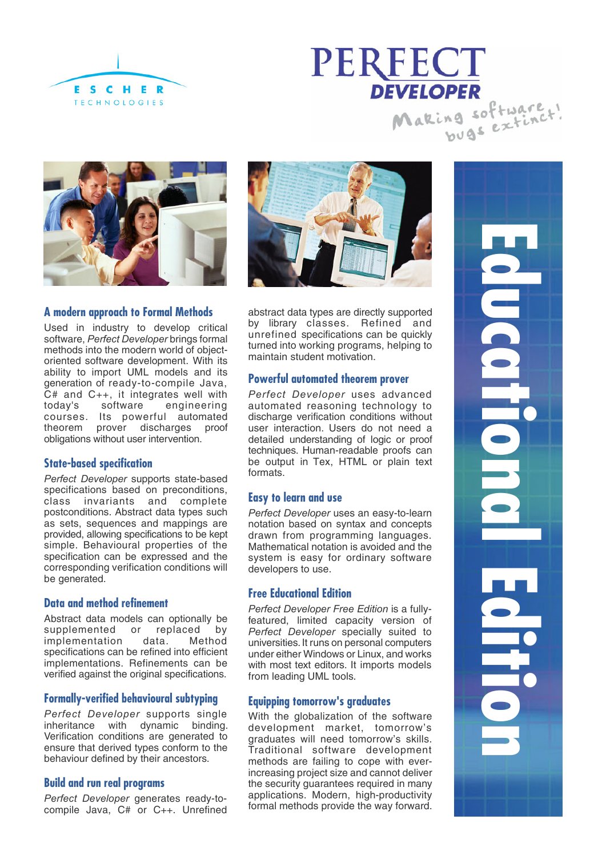





# **A modern approach to Formal Methods**

Used in industry to develop critical software, *Perfect Developer* brings formal methods into the modern world of objectoriented software development. With its ability to import UML models and its generation of ready-to-compile Java,  $\tilde{C}$ # and C++, it integrates well with<br>todav's software engineering engineering courses. Its powerful automated theorem prover discharges proof obligations without user intervention.

#### **State-based specification**

*Perfect Developer* supports state-based specifications based on preconditions, class invariants and complete postconditions. Abstract data types such as sets, sequences and mappings are provided, allowing specifications to be kept simple. Behavioural properties of the specification can be expressed and the corresponding verification conditions will be generated.

#### **Data and method refinement**

Abstract data models can optionally be supplemented or replaced by<br>implementation data. Method implementation specifications can be refined into efficient implementations. Refinements can be verified against the original specifications.

#### **Formally-verified behavioural subtyping**

*Perfect Developer* supports single inheritance with dynamic binding. Verification conditions are generated to ensure that derived types conform to the behaviour defined by their ancestors.

#### **Build and run real programs**

*Perfect Developer* generates ready-tocompile Java, C# or C++. Unrefined



abstract data types are directly supported by library classes. Refined and unrefined specifications can be quickly turned into working programs, helping to maintain student motivation.

#### **Powerful automated theorem prover**

*Perfect Developer* uses advanced automated reasoning technology to discharge verification conditions without user interaction. Users do not need a detailed understanding of logic or proof techniques. Human-readable proofs can be output in Tex, HTML or plain text formats.

# **Easy to learn and use**

*Perfect Developer* uses an easy-to-learn notation based on syntax and concepts drawn from programming languages. Mathematical notation is avoided and the system is easy for ordinary software developers to use.

#### **Free Educational Edition**

*Perfect Developer Free Edition* is a fullyfeatured, limited capacity version of *Perfect Developer* specially suited to universities. It runs on personal computers under either Windows or Linux, and works with most text editors. It imports models from leading UML tools.

## **Equipping tomorrow's graduates**

With the globalization of the software development market, tomorrow's graduates will need tomorrow's skills. Traditional software development methods are failing to cope with everincreasing project size and cannot deliver the security guarantees required in many applications. Modern, high-productivity formal methods provide the way forward. **Educational Edition PICCEDISC**